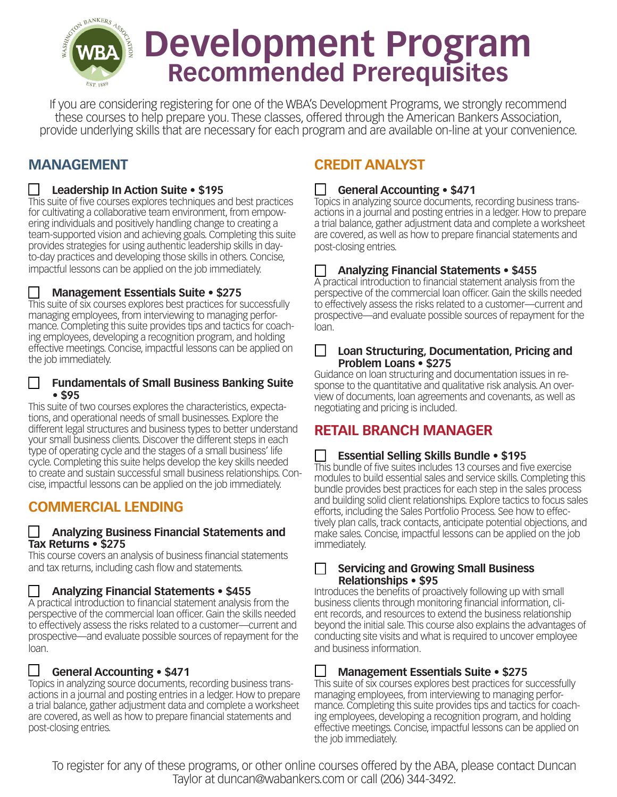

If you are considering registering for one of the WBA's Development Programs, we strongly recommend these courses to help prepare you. These classes, offered through the American Bankers Association, provide underlying skills that are necessary for each program and are available on-line at your convenience.

# **MANAGEMENT**

## m **Leadership In Action Suite • \$195**

This suite of five courses explores techniques and best practices for cultivating a collaborative team environment, from empowering individuals and positively handling change to creating a team-supported vision and achieving goals. Completing this suite provides strategies for using authentic leadership skills in dayto-day practices and developing those skills in others. Concise, impactful lessons can be applied on the job immediately.

## m **Management Essentials Suite • \$275**

This suite of six courses explores best practices for successfully managing employees, from interviewing to managing performance. Completing this suite provides tips and tactics for coaching employees, developing a recognition program, and holding effective meetings. Concise, impactful lessons can be applied on the job immediately.

#### **Fundamentals of Small Business Banking Suite • \$95**

This suite of two courses explores the characteristics, expectations, and operational needs of small businesses. Explore the different legal structures and business types to better understand your small business clients. Discover the different steps in each type of operating cycle and the stages of a small business' life cycle. Completing this suite helps develop the key skills needed to create and sustain successful small business relationships. Concise, impactful lessons can be applied on the job immediately.

# **COMMERCIAL LENDING**

#### m **Analyzing Business Financial Statements and Tax Returns • \$275**

This course covers an analysis of business financial statements and tax returns, including cash flow and statements.

#### m **Analyzing Financial Statements • \$455**

A practical introduction to financial statement analysis from the perspective of the commercial loan officer. Gain the skills needed to effectively assess the risks related to a customer—current and prospective—and evaluate possible sources of repayment for the loan.

## m **General Accounting • \$471**

Topics in analyzing source documents, recording business transactions in a journal and posting entries in a ledger. How to prepare a trial balance, gather adjustment data and complete a worksheet are covered, as well as how to prepare financial statements and post-closing entries.

# **CREDIT ANALYST**

#### m **General Accounting • \$471**

Topics in analyzing source documents, recording business transactions in a journal and posting entries in a ledger. How to prepare a trial balance, gather adjustment data and complete a worksheet are covered, as well as how to prepare financial statements and post-closing entries.

## m **Analyzing Financial Statements • \$455**

A practical introduction to financial statement analysis from the perspective of the commercial loan officer. Gain the skills needed to effectively assess the risks related to a customer—current and prospective—and evaluate possible sources of repayment for the loan.

#### m **Loan Structuring, Documentation, Pricing and Problem Loans • \$275**

Guidance on loan structuring and documentation issues in response to the quantitative and qualitative risk analysis. An overview of documents, loan agreements and covenants, as well as negotiating and pricing is included.

# **RETAIL BRANCH MANAGER**

## m **Essential Selling Skills Bundle • \$195**

This bundle of five suites includes 13 courses and five exercise modules to build essential sales and service skills. Completing this bundle provides best practices for each step in the sales process and building solid client relationships. Explore tactics to focus sales efforts, including the Sales Portfolio Process. See how to effectively plan calls, track contacts, anticipate potential objections, and make sales. Concise, impactful lessons can be applied on the job immediately.

#### **Servicing and Growing Small Business Relationships • \$95**

Introduces the benefits of proactively following up with small business clients through monitoring financial information, client records, and resources to extend the business relationship beyond the initial sale. This course also explains the advantages of conducting site visits and what is required to uncover employee and business information.

## m **Management Essentials Suite • \$275**

This suite of six courses explores best practices for successfully managing employees, from interviewing to managing performance. Completing this suite provides tips and tactics for coaching employees, developing a recognition program, and holding effective meetings. Concise, impactful lessons can be applied on the job immediately.

To register for any of these programs, or other online courses offered by the ABA, please contact Duncan Taylor at duncan@wabankers.com or call (206) 344-3492.